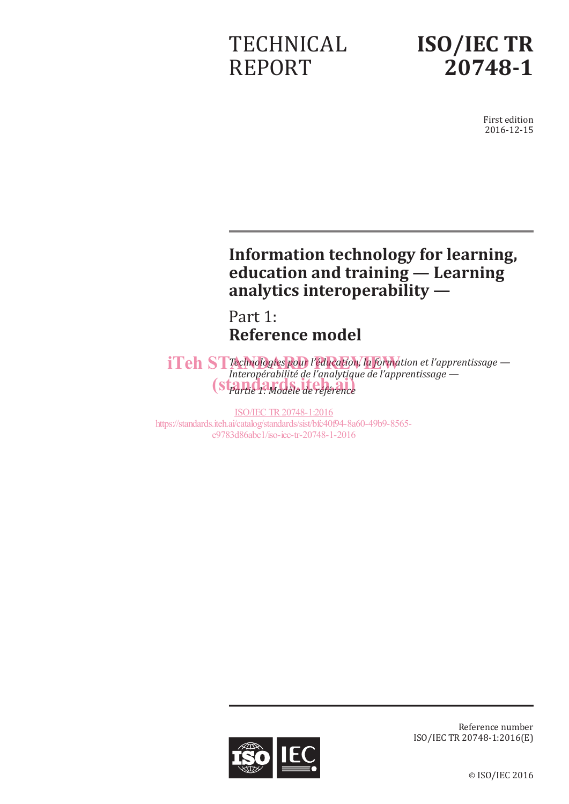# **TECHNICAL** REPORT



First edition 2016-12-15

## **Information technology for learning, education and training — Learning analytics interoperability —**

Part 1: **Reference model**

*iTeh ST Technologies pour l'éducation, la formation et l'apprentissage* — *Interopérabilité de l'analytique de l'apprentissage —* **Partie 1: Modèle de référence** 

ISO/IEC TR20748-1:2016 https://standards.iteh.ai/catalog/standards/sist/bfc40f94-8a60-49b9-8565 e9783d86abc1/iso-iec-tr-20748-1-2016



Reference number ISO/IEC TR 20748-1:2016(E)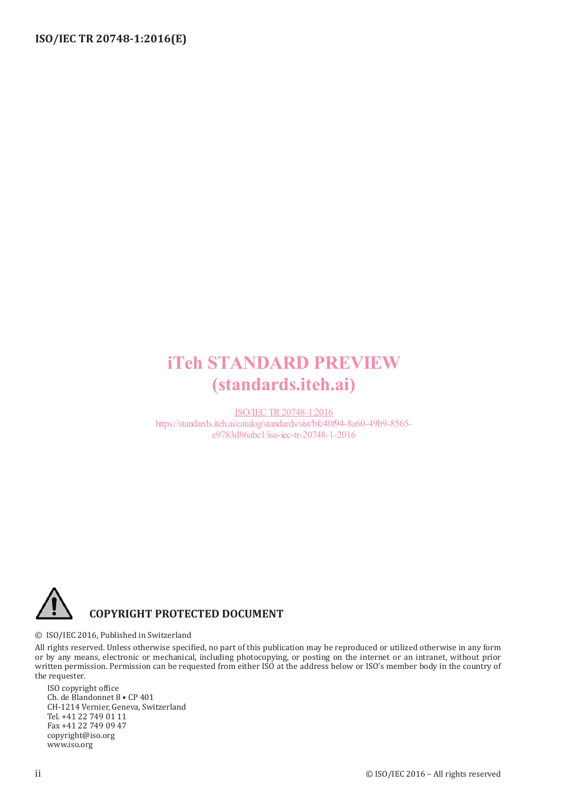## iTeh STANDARD PREVIEW (standards.iteh.ai)

ISO/IEC TR20748-1:2016 https://standards.iteh.ai/catalog/standards/sist/bfc40f94-8a60-49b9-8565 e9783d86abc1/iso-iec-tr-20748-1-2016



© ISO/IEC 2016, Published in Switzerland

All rights reserved. Unless otherwise specified, no part of this publication may be reproduced or utilized otherwise in any form or by any means, electronic or mechanical, including photocopying, or posting on the internet or an intranet, without prior written permission. Permission can be requested from either ISO at the address below or ISO's member body in the country of the requester.

ISO copyright office Ch. de Blandonnet 8 • CP 401 CH-1214 Vernier, Geneva, Switzerland Tel. +41 22 749 01 11 Fax +41 22 749 09 47 copyright@iso.org www.iso.org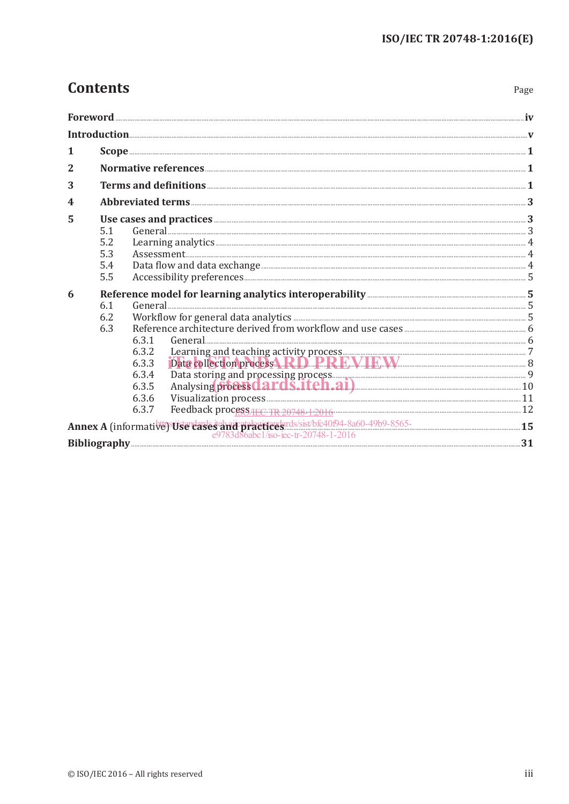Page

## **Contents**

| 1<br>2<br>3<br>4<br>5<br>5.1<br>5.2<br>5.3<br>5.4<br>5.5<br>6<br>6.1<br>6.2<br>6.3<br>6.3.1<br>6.3.2<br>6.3.3<br>6.3.4<br>Analysing process dards. Iteh.ai)<br>6.3.5<br>Visualization process <b>Manualization</b> 21<br>6.3.6<br>Feedback process FEC TR 20748-12016<br>6.3.7<br>Annex A (informative) Usercases and practices days of the 1994-8a60-49b9-8565-<br>e9783d86abcl/iso-iec-tr-20748-1-2016 |  |  |  |  |  |
|----------------------------------------------------------------------------------------------------------------------------------------------------------------------------------------------------------------------------------------------------------------------------------------------------------------------------------------------------------------------------------------------------------|--|--|--|--|--|
|                                                                                                                                                                                                                                                                                                                                                                                                          |  |  |  |  |  |
|                                                                                                                                                                                                                                                                                                                                                                                                          |  |  |  |  |  |
|                                                                                                                                                                                                                                                                                                                                                                                                          |  |  |  |  |  |
|                                                                                                                                                                                                                                                                                                                                                                                                          |  |  |  |  |  |
|                                                                                                                                                                                                                                                                                                                                                                                                          |  |  |  |  |  |
|                                                                                                                                                                                                                                                                                                                                                                                                          |  |  |  |  |  |
|                                                                                                                                                                                                                                                                                                                                                                                                          |  |  |  |  |  |
|                                                                                                                                                                                                                                                                                                                                                                                                          |  |  |  |  |  |
|                                                                                                                                                                                                                                                                                                                                                                                                          |  |  |  |  |  |
|                                                                                                                                                                                                                                                                                                                                                                                                          |  |  |  |  |  |
|                                                                                                                                                                                                                                                                                                                                                                                                          |  |  |  |  |  |
|                                                                                                                                                                                                                                                                                                                                                                                                          |  |  |  |  |  |
|                                                                                                                                                                                                                                                                                                                                                                                                          |  |  |  |  |  |
|                                                                                                                                                                                                                                                                                                                                                                                                          |  |  |  |  |  |
|                                                                                                                                                                                                                                                                                                                                                                                                          |  |  |  |  |  |
|                                                                                                                                                                                                                                                                                                                                                                                                          |  |  |  |  |  |
|                                                                                                                                                                                                                                                                                                                                                                                                          |  |  |  |  |  |
|                                                                                                                                                                                                                                                                                                                                                                                                          |  |  |  |  |  |
|                                                                                                                                                                                                                                                                                                                                                                                                          |  |  |  |  |  |
|                                                                                                                                                                                                                                                                                                                                                                                                          |  |  |  |  |  |
|                                                                                                                                                                                                                                                                                                                                                                                                          |  |  |  |  |  |
|                                                                                                                                                                                                                                                                                                                                                                                                          |  |  |  |  |  |
|                                                                                                                                                                                                                                                                                                                                                                                                          |  |  |  |  |  |
| Bibliography 21                                                                                                                                                                                                                                                                                                                                                                                          |  |  |  |  |  |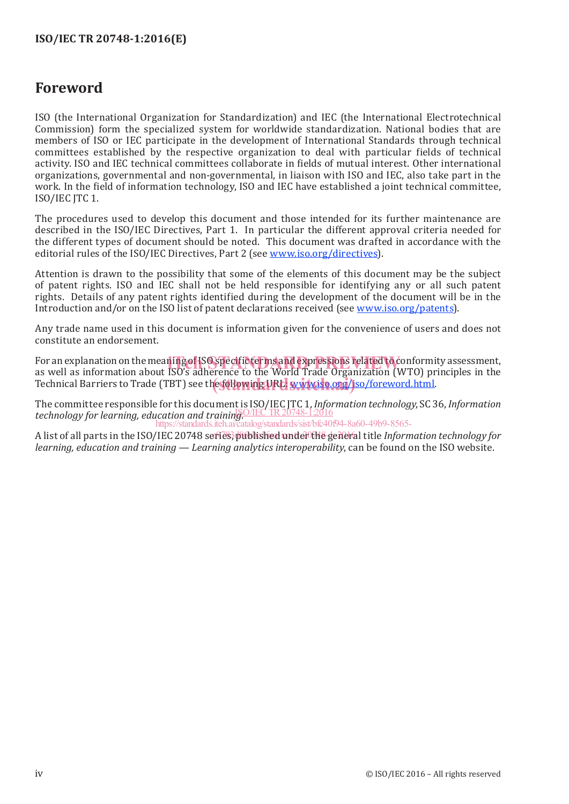### **ISO/IEC TR 20748-1:2016(E)**

## **Foreword**

ISO (the International Organization for Standardization) and IEC (the International Electrotechnical Commission) form the specialized system for worldwide standardization. National bodies that are members of ISO or IEC participate in the development of International Standards through technical committees established by the respective organization to deal with particular fields of technical activity. ISO and IEC technical committees collaborate in fields of mutual interest. Other international organizations, governmental and non-governmental, in liaison with ISO and IEC, also take part in the work. In the field of information technology, ISO and IEC have established a joint technical committee, ISO/IEC JTC 1.

The procedures used to develop this document and those intended for its further maintenance are described in the ISO/IEC Directives, Part 1. In particular the different approval criteria needed for the different types of document should be noted. This document was drafted in accordance with the editorial rules of the ISO/IEC Directives, Part 2 (see www.iso.org/directives).

Attention is drawn to the possibility that some of the elements of this document may be the subject of patent rights. ISO and IEC shall not be held responsible for identifying any or all such patent rights. Details of any patent rights identified during the development of the document will be in the Introduction and/or on the ISO list of patent declarations received (see www.iso.org/patents).

Any trade name used in this document is information given for the convenience of users and does not constitute an endorsement.

For an explanation on the meaning of ISO specific terms and expressions related to conformity assessment,<br>as well as information about ISO's adherence to the World Trade Organization (WTO) principles in the as well as information about ISO's adherence to the World Trade Organization (WTO) principles in the as wen as information assat isso standardies to the world made enganization (who) prechnical Barriers to Trade (TBT) see the **following URL:** www.iso.org/jso/foreword.html.

The committee responsible for this document is ISO/IEC JTC 1, *Information technology*, SC 36, *Information technology for learning, education and training. The state of TR20748-1:2016* https://standards.iteh.ai/catalog/standards/sist/bfc40f94-8a60-49b9-8565-

A list of all parts in the ISO/IEC 20748 series, published under the general title *Information technology for learning, education and training — Learning analytics interoperability*, can be found on the ISO website.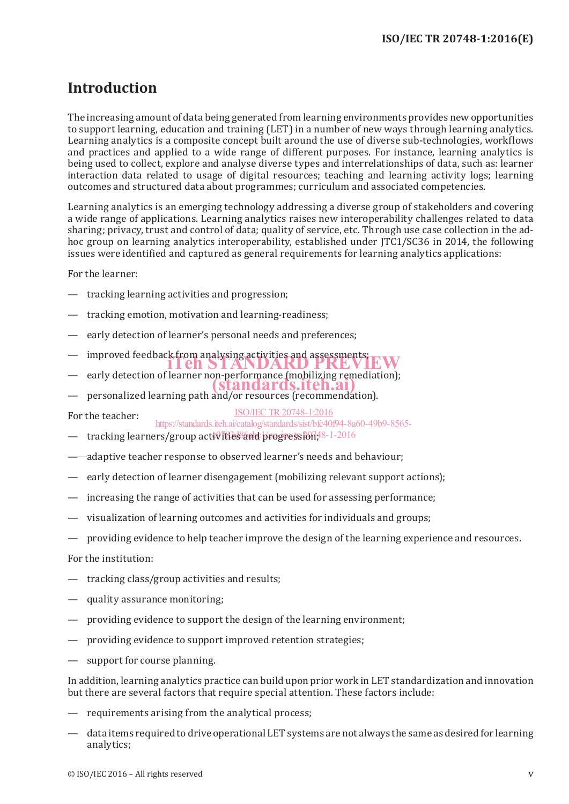## **Introduction**

The increasing amount of data being generated from learning environments provides new opportunities to support learning, education and training (LET) in a number of new ways through learning analytics. Learning analytics is a composite concept built around the use of diverse sub-technologies, workflows and practices and applied to a wide range of different purposes. For instance, learning analytics is being used to collect, explore and analyse diverse types and interrelationships of data, such as: learner interaction data related to usage of digital resources; teaching and learning activity logs; learning outcomes and structured data about programmes; curriculum and associated competencies.

Learning analytics is an emerging technology addressing a diverse group of stakeholders and covering a wide range of applications. Learning analytics raises new interoperability challenges related to data sharing; privacy, trust and control of data; quality of service, etc. Through use case collection in the adhoc group on learning analytics interoperability, established under JTC1/SC36 in 2014, the following issues were identified and captured as general requirements for learning analytics applications:

For the learner:

- tracking learning activities and progression;
- tracking emotion, motivation and learning-readiness;
- early detection of learner's personal needs and preferences;
- improved feedback from analysing activities and assessments;<br> **LETTER LATER FILM FILM in Fig. 3 EXERCITE STANDARD PREVIEW**
- early detection of learner non-performance (mobilizing remediation);
- (standards.iteh.ai)
- personalized learning path and/or resources (recommendation).

For the teacher:

https://standards.iteh.ai/catalog/standards/sist/bfc40f94-8a60-49b9-8565-

ISO/IEC TR20748-1:2016

- tracking learners/group activities and progression;<sup>48-1-2016</sup>
- adaptive teacher response to observed learner's needs and behaviour;
- early detection of learner disengagement (mobilizing relevant support actions);
- increasing the range of activities that can be used for assessing performance;
- visualization of learning outcomes and activities for individuals and groups;
- providing evidence to help teacher improve the design of the learning experience and resources.

For the institution:

- tracking class/group activities and results;
- quality assurance monitoring;
- providing evidence to support the design of the learning environment;
- providing evidence to support improved retention strategies;
- support for course planning.

In addition, learning analytics practice can build upon prior work in LET standardization and innovation but there are several factors that require special attention. These factors include:

- requirements arising from the analytical process;
- data items required to drive operational LET systems are not always the same as desired for learning analytics;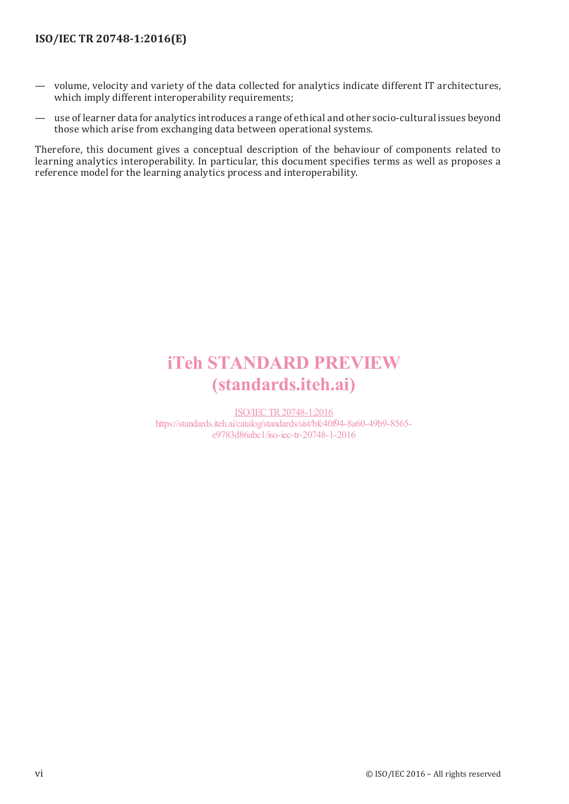### **ISO/IEC TR 20748-1:2016(E)**

- volume, velocity and variety of the data collected for analytics indicate different IT architectures, which imply different interoperability requirements;
- use of learner data for analytics introduces a range of ethical and other socio-cultural issues beyond those which arise from exchanging data between operational systems.

Therefore, this document gives a conceptual description of the behaviour of components related to learning analytics interoperability. In particular, this document specifies terms as well as proposes a reference model for the learning analytics process and interoperability.

## iTeh STANDARD PREVIEW (standards.iteh.ai)

ISO/IEC TR20748-1:2016 https://standards.iteh.ai/catalog/standards/sist/bfc40f94-8a60-49b9-8565 e9783d86abc1/iso-iec-tr-20748-1-2016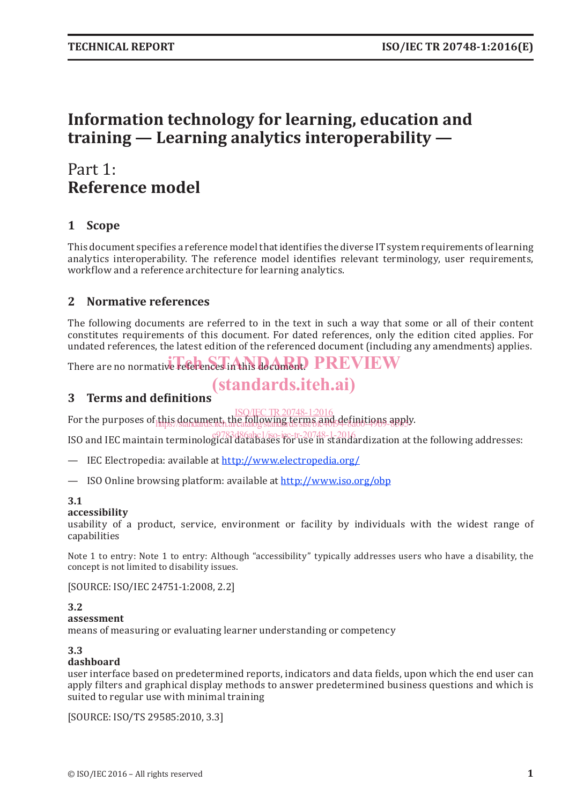## **Information technology for learning, education and training — Learning analytics interoperability —**

## Part 1: **Reference model**

## **1 Scope**

This document specifies a reference model that identifies the diverse IT system requirements of learning analytics interoperability. The reference model identifies relevant terminology, user requirements, workflow and a reference architecture for learning analytics.

## **2 Normative references**

The following documents are referred to in the text in such a way that some or all of their content constitutes requirements of this document. For dated references, only the edition cited applies. For undated references, the latest edition of the referenced document (including any amendments) applies.

There are no normative references in this document. PREVIEW

## (standards.iteh.ai)

### **3 Terms and definitions**

For the purposes of this document, the following terms and definitions apply.<br>https://standard.iteh.ai/catalog/standards/sist/bfc40f94-8a60-49b9-85695 TR 20748-1:2016

ISO and IEC maintain terminological databases for use in standardization at the following addresses:

— IEC Electropedia: available at http://www.electropedia.org/

— ISO Online browsing platform: available at http://www.iso.org/obp

### **3.1**

### **accessibility**

usability of a product, service, environment or facility by individuals with the widest range of capabilities

Note 1 to entry: Note 1 to entry: Although "accessibility" typically addresses users who have a disability, the concept is not limited to disability issues.

[SOURCE: ISO/IEC 24751-1:2008, 2.2]

### **3.2**

### **assessment**

means of measuring or evaluating learner understanding or competency

### **3.3**

### **dashboard**

user interface based on predetermined reports, indicators and data fields, upon which the end user can apply filters and graphical display methods to answer predetermined business questions and which is suited to regular use with minimal training

[SOURCE: ISO/TS 29585:2010, 3.3]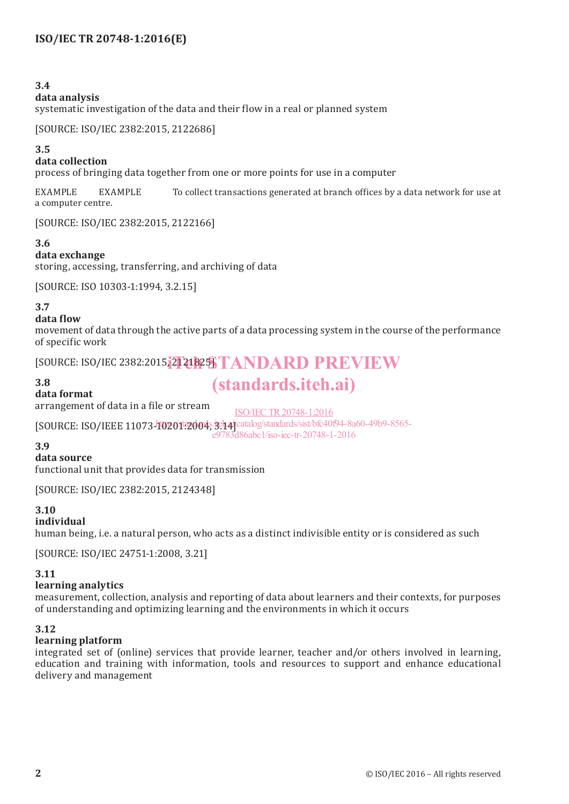## **ISO/IEC TR 20748-1:2016(E)**

### **3.4**

### **data analysis**

systematic investigation of the data and their flow in a real or planned system

[SOURCE: ISO/IEC 2382:2015, 2122686]

### **3.5**

### **data collection**

process of bringing data together from one or more points for use in a computer

EXAMPLE EXAMPLE To collect transactions generated at branch offices by a data network for use at a computer centre.

[SOURCE: ISO/IEC 2382:2015, 2122166]

### **3.6**

**data exchange**

storing, accessing, transferring, and archiving of data

[SOURCE: ISO 10303-1:1994, 3.2.15]

### **3.7**

### **data flow**

movement of data through the active parts of a data processing system in the course of the performance of specific work

## [SOURCE: ISO/IEC 2382:2015, 2121825] TANDARD PREVIEW

### **3.8**

## (standards.iteh.ai)

**data format** arrangement of data in a file or stream

ISO/IEC TR20748-1:2016

[SOURCE: ISO/IEEE 11073-10201:2004; 3:14] catalog/standards/sist/bfc40f94-8a60-49b9-8565e9783d86abc1/iso-iec-tr-20748-1-2016

### **3.9**

### **data source**

functional unit that provides data for transmission

[SOURCE: ISO/IEC 2382:2015, 2124348]

### **3.10**

### **individual**

human being, i.e. a natural person, who acts as a distinct indivisible entity or is considered as such

[SOURCE: ISO/IEC 24751-1:2008, 3.21]

### **3.11**

### **learning analytics**

measurement, collection, analysis and reporting of data about learners and their contexts, for purposes of understanding and optimizing learning and the environments in which it occurs

### **3.12**

### **learning platform**

integrated set of (online) services that provide learner, teacher and/or others involved in learning, education and training with information, tools and resources to support and enhance educational delivery and management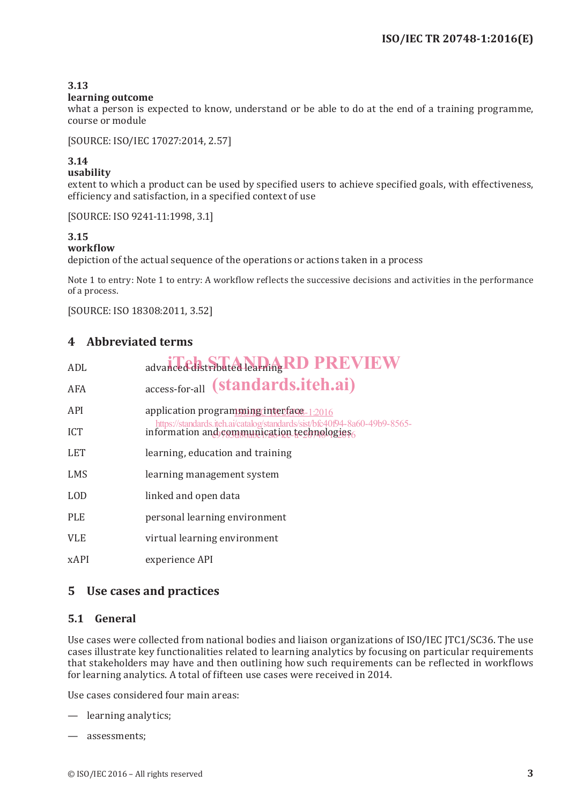### **3.13**

### **learning outcome**

what a person is expected to know, understand or be able to do at the end of a training programme, course or module

[SOURCE: ISO/IEC 17027:2014, 2.57]

## **3.14**

### **usability**

extent to which a product can be used by specified users to achieve specified goals, with effectiveness, efficiency and satisfaction, in a specified context of use

[SOURCE: ISO 9241-11:1998, 3.1]

### **3.15**

### **workflow**

depiction of the actual sequence of the operations or actions taken in a process

Note 1 to entry: Note 1 to entry: A workflow reflects the successive decisions and activities in the performance of a process.

[SOURCE: ISO 18308:2011, 3.52]

## **4 Abbreviated terms**

| ADL        | advanced distributed learning RD PREVIEW                                                                                |
|------------|-------------------------------------------------------------------------------------------------------------------------|
| AFA        | access-for-all (standards.iteh.ai)                                                                                      |
| API        | application programming interface $-1:2016$                                                                             |
| <b>ICT</b> | https://standards.iteh.ai/catalog/standards/sist/bfc40f94-8a60-49b9-8565-<br>information and communication technologies |
| <b>LET</b> | learning, education and training                                                                                        |
| <b>LMS</b> | learning management system                                                                                              |
| <b>LOD</b> | linked and open data                                                                                                    |
| <b>PLE</b> | personal learning environment                                                                                           |
| <b>VLE</b> | virtual learning environment                                                                                            |
| xAPI       | experience API                                                                                                          |
|            |                                                                                                                         |

### **5 Use cases and practices**

### **5.1 General**

Use cases were collected from national bodies and liaison organizations of ISO/IEC JTC1/SC36. The use cases illustrate key functionalities related to learning analytics by focusing on particular requirements that stakeholders may have and then outlining how such requirements can be reflected in workflows for learning analytics. A total of fifteen use cases were received in 2014.

Use cases considered four main areas:

- learning analytics;
- assessments;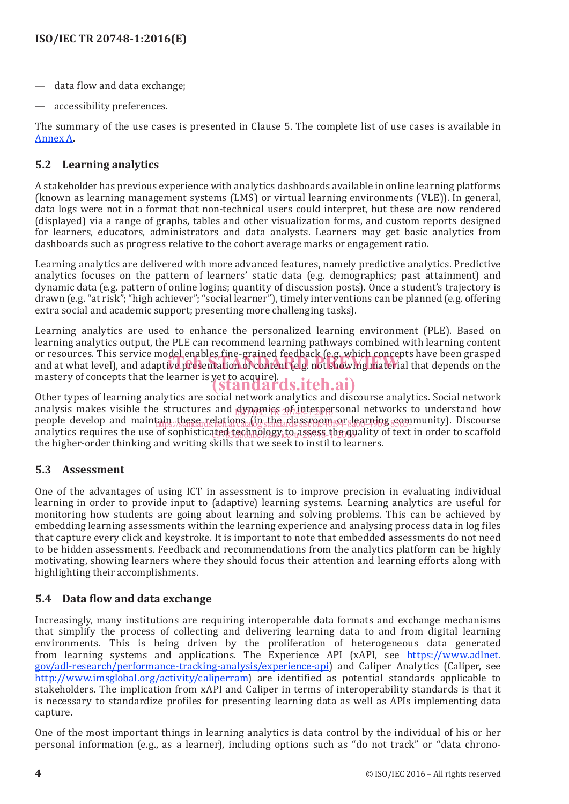- data flow and data exchange;
- accessibility preferences.

The summary of the use cases is presented in Clause 5. The complete list of use cases is available in Annex A.

### **5.2 Learning analytics**

A stakeholder has previous experience with analytics dashboards available in online learning platforms (known as learning management systems (LMS) or virtual learning environments (VLE)). In general, data logs were not in a format that non-technical users could interpret, but these are now rendered (displayed) via a range of graphs, tables and other visualization forms, and custom reports designed for learners, educators, administrators and data analysts. Learners may get basic analytics from dashboards such as progress relative to the cohort average marks or engagement ratio.

Learning analytics are delivered with more advanced features, namely predictive analytics. Predictive analytics focuses on the pattern of learners' static data (e.g. demographics; past attainment) and dynamic data (e.g. pattern of online logins; quantity of discussion posts). Once a student's trajectory is drawn (e.g. "at risk"; "high achiever"; "social learner"), timely interventions can be planned (e.g. offering extra social and academic support; presenting more challenging tasks).

Learning analytics are used to enhance the personalized learning environment (PLE). Based on learning analytics output, the PLE can recommend learning pathways combined with learning content or resources. This service model enables fine-grained feedback (e.g. which concepts have been grasped or resources. This set vice model enables the grained reedback (e.g. which concepts have been grasped<br>and at what level), and adaptive presentation of content (e.g. not showing material that depends on the mastery of concepts that the learner is yet to acquire).<br> **(standards.iteh.ai)** 

Other types of learning analytics are social network analytics and discourse analytics. Social network analysis makes visible the structures and <u>dynamics of interper</u>sonal networks to understand how people develop and maintain these relations alig<sub>s</sub>the classroom or elearning community). Discourse analytics requires the use of sophisticated technology to <sub>t</sub>assess the quality of text in order to scaffold the higher-order thinking and writing skills that we seek to instil to learners.

### **5.3 Assessment**

One of the advantages of using ICT in assessment is to improve precision in evaluating individual learning in order to provide input to (adaptive) learning systems. Learning analytics are useful for monitoring how students are going about learning and solving problems. This can be achieved by embedding learning assessments within the learning experience and analysing process data in log files that capture every click and keystroke. It is important to note that embedded assessments do not need to be hidden assessments. Feedback and recommendations from the analytics platform can be highly motivating, showing learners where they should focus their attention and learning efforts along with highlighting their accomplishments.

### **5.4 Data flow and data exchange**

Increasingly, many institutions are requiring interoperable data formats and exchange mechanisms that simplify the process of collecting and delivering learning data to and from digital learning environments. This is being driven by the proliferation of heterogeneous data generated from learning systems and applications. The Experience API (xAPI, see <u>https://www.adlnet.</u> gov/adl-research/performance-tracking-analysis/experience-api) and Caliper Analytics (Caliper, see http://www.imsglobal.org/activity/caliperram) are identified as potential standards applicable to stakeholders. The implication from xAPI and Caliper in terms of interoperability standards is that it is necessary to standardize profiles for presenting learning data as well as APIs implementing data capture.

One of the most important things in learning analytics is data control by the individual of his or her personal information (e.g., as a learner), including options such as "do not track" or "data chrono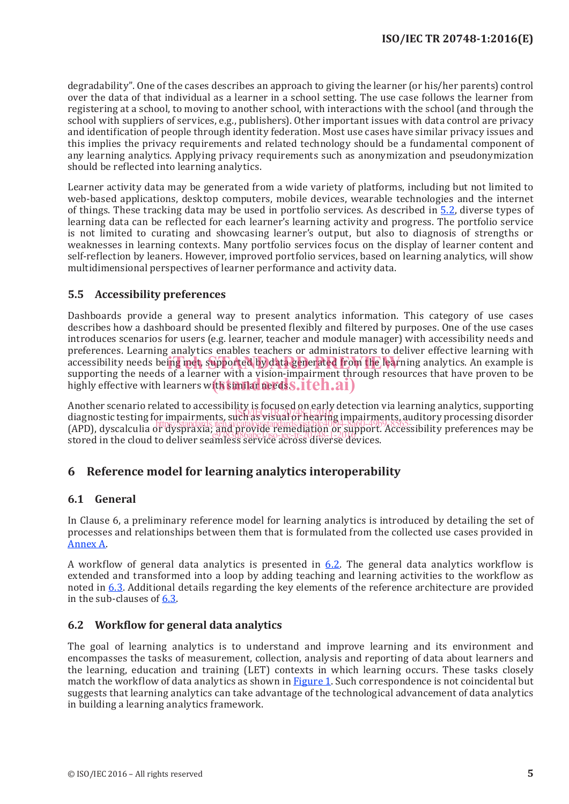degradability". One of the cases describes an approach to giving the learner (or his/her parents) control over the data of that individual as a learner in a school setting. The use case follows the learner from registering at a school, to moving to another school, with interactions with the school (and through the school with suppliers of services, e.g., publishers). Other important issues with data control are privacy and identification of people through identity federation. Most use cases have similar privacy issues and this implies the privacy requirements and related technology should be a fundamental component of any learning analytics. Applying privacy requirements such as anonymization and pseudonymization should be reflected into learning analytics.

Learner activity data may be generated from a wide variety of platforms, including but not limited to web-based applications, desktop computers, mobile devices, wearable technologies and the internet of things. These tracking data may be used in portfolio services. As described in 5.2, diverse types of learning data can be reflected for each learner's learning activity and progress. The portfolio service is not limited to curating and showcasing learner's output, but also to diagnosis of strengths or weaknesses in learning contexts. Many portfolio services focus on the display of learner content and self-reflection by leaners. However, improved portfolio services, based on learning analytics, will show multidimensional perspectives of learner performance and activity data.

### **5.5 Accessibility preferences**

Dashboards provide a general way to present analytics information. This category of use cases describes how a dashboard should be presented flexibly and filtered by purposes. One of the use cases introduces scenarios for users (e.g. learner, teacher and module manager) with accessibility needs and preferences. Learning analytics enables teachers or administrators to deliver effective learning with accessibility needs being met, supported by data generated from the learning analytics. An example is supported from the learning analytics. An example is supported by data generated from the learning analytics. An example supporting the needs of a learner with a vision-impairment through resources that have proven to be supporting the heeds of a learner with a vision-impartment throwing

Another scenario related to accessibility is focused on early detection via learning analytics, supporting diagnostic testing for impairments, such as visual or hearing impairments, auditory processing disorder diagnostic testing for impairments, and the system of the contract of the contract of the contract of the contract of diagnosite testing for informations is also and provide remediation and provide reports, addition of processing disorder<br>(APD), dyscalculia or dyspraxia; and provide remediation or support. Accessibility preferences may be (APD), dysealed of dyspraxia, and a discrete chemically in Support.<br>stored in the cloud to deliver seamless service across diverse devices.

### **6 Reference model for learning analytics interoperability**

### **6.1 General**

In Clause 6, a preliminary reference model for learning analytics is introduced by detailing the set of processes and relationships between them that is formulated from the collected use cases provided in Annex A.

A workflow of general data analytics is presented in 6.2. The general data analytics workflow is extended and transformed into a loop by adding teaching and learning activities to the workflow as noted in 6.3. Additional details regarding the key elements of the reference architecture are provided in the sub-clauses of 6.3.

### **6.2 Workflow for general data analytics**

The goal of learning analytics is to understand and improve learning and its environment and encompasses the tasks of measurement, collection, analysis and reporting of data about learners and the learning, education and training (LET) contexts in which learning occurs. These tasks closely match the workflow of data analytics as shown in **Figure 1**. Such correspondence is not coincidental but suggests that learning analytics can take advantage of the technological advancement of data analytics in building a learning analytics framework.